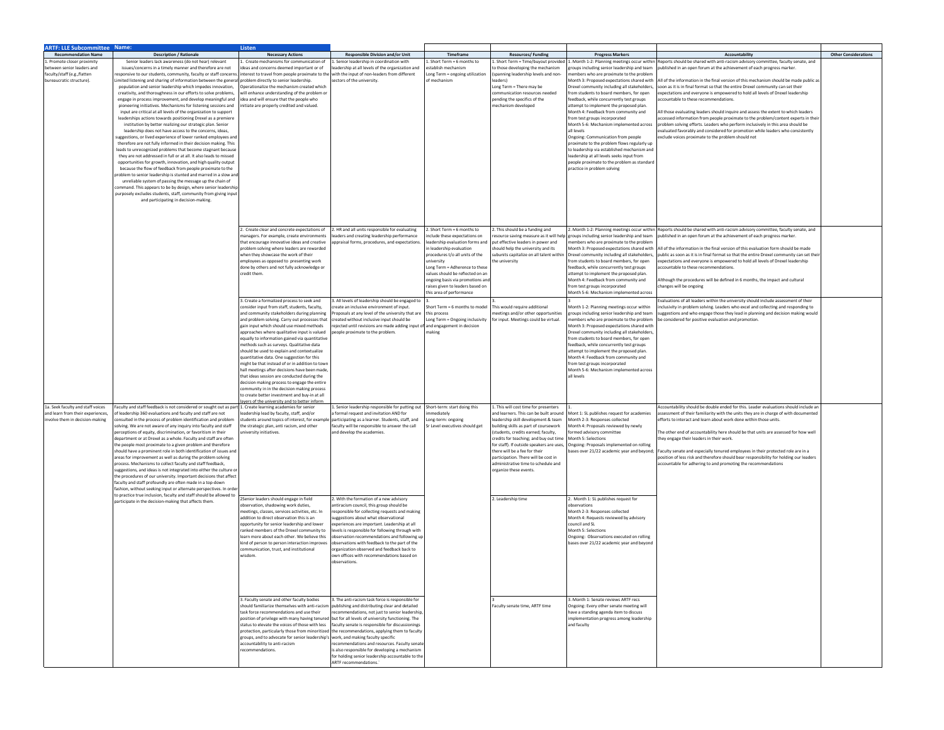| <b>ARTF: LLE Subcommittee Name:</b>                                |                                                                                                                                                                            | Listen                                                                                                             |                                                                                                                                                                                                      |                                                                    |                                                                               |                                                                                                  |                                                                                                                                                                          |                             |
|--------------------------------------------------------------------|----------------------------------------------------------------------------------------------------------------------------------------------------------------------------|--------------------------------------------------------------------------------------------------------------------|------------------------------------------------------------------------------------------------------------------------------------------------------------------------------------------------------|--------------------------------------------------------------------|-------------------------------------------------------------------------------|--------------------------------------------------------------------------------------------------|--------------------------------------------------------------------------------------------------------------------------------------------------------------------------|-----------------------------|
| <b>Recommendation Name</b>                                         | <b>Description / Rationale</b>                                                                                                                                             | <b>Necessary Actions</b>                                                                                           | <b>Responsible Division and/or Unit</b>                                                                                                                                                              | <b>Timeframe</b>                                                   | <b>Resources/Funding</b>                                                      | <b>Progress Markers</b>                                                                          | <b>Accountability</b>                                                                                                                                                    | <b>Other Considerations</b> |
| Promote closer proximity                                           | Senior leaders lack awareness (do not hear) relevant                                                                                                                       | . Create mechanisms for communication of                                                                           | Senior leadership in coordination with                                                                                                                                                               | Short Term = 6 months to                                           | . Short Term = Time/buyout provide                                            | Month 1-2: Planning meetings occur withi                                                         | eports should be shared with anti-racism advisory committee, faculty senate, and                                                                                         |                             |
| etween senior leaders and                                          | issues/concerns in a timely manner and therefore are not                                                                                                                   | ideas and concerns deemed important or of                                                                          | adership at all levels of the organization and                                                                                                                                                       | stablish mechanism                                                 | o those developing the mechanism                                              | roups including senior leadership and team                                                       | ublished in an open forum at the achievement of each progress marker                                                                                                     |                             |
| faculty/staff (e.g., flatten<br>bureaucratic structure).           | esponsive to our students, community, faculty or staff concerns.<br>imited listening and sharing of information between the general problem directly to senior leadership. | interest to travel from people proximate to the with the input of non-leaders from different                       | sectors of the university.                                                                                                                                                                           | Long Term = ongoing utilization<br>of mechanism                    | (spanning leadership levels and non-<br>leaders)                              | members who are proximate to the problem<br>Month 3: Proposed expectations shared with           | All of the information in the final version of this mechanism should be made public a                                                                                    |                             |
|                                                                    | population and senior leadership which impedes innovation,                                                                                                                 | Operationalize the mechanism created which                                                                         |                                                                                                                                                                                                      |                                                                    | Long Term = There may be                                                      | Orexel community including all stakeholders                                                      | oon as it is in final format so that the entire Drexel community can set their                                                                                           |                             |
|                                                                    | creativity, and thoroughness in our efforts to solve problems,                                                                                                             | will enhance understanding of the problem or                                                                       |                                                                                                                                                                                                      |                                                                    | communication resources needed                                                | from students to board members, for open                                                         | pectations and everyone is empowered to hold all levels of Drexel leadership                                                                                             |                             |
|                                                                    | engage in process improvement, and develop meaningful and                                                                                                                  | idea and will ensure that the people who                                                                           |                                                                                                                                                                                                      |                                                                    | pending the specifics of the                                                  | feedback, while concurrently test groups                                                         | ccountable to these recommendations                                                                                                                                      |                             |
|                                                                    | pioneering initiatives. Mechanisms for listening sessions and<br>input are critical at all levels of the organization to support                                           | initiate are properly credited and valued.                                                                         |                                                                                                                                                                                                      |                                                                    | mechanism developed                                                           | attempt to implement the proposed plan.<br>Aonth 4: Feedback from community and                  | Ill those evaluating leaders should inquire and assess the extent to which leaders                                                                                       |                             |
|                                                                    | leaderships actions towards positioning Drexel as a premiere                                                                                                               |                                                                                                                    |                                                                                                                                                                                                      |                                                                    |                                                                               | from test groups incorporated                                                                    | cessed information from people proximate to the problem/content experts in the                                                                                           |                             |
|                                                                    | institution by better realizing our strategic plan. Senior                                                                                                                 |                                                                                                                    |                                                                                                                                                                                                      |                                                                    |                                                                               | Month 5-6: Mechanism implemented across                                                          | problem solving efforts. Leaders who perform inclusively in this area should be                                                                                          |                             |
|                                                                    | leadership does not have access to the concerns, ideas,                                                                                                                    |                                                                                                                    |                                                                                                                                                                                                      |                                                                    |                                                                               | all levels                                                                                       | evaluated favorably and considered for promotion while leaders who consistently                                                                                          |                             |
|                                                                    | suggestions, or lived experience of lower ranked employees and<br>therefore are not fully informed in their decision making. This                                          |                                                                                                                    |                                                                                                                                                                                                      |                                                                    |                                                                               | Ongoing: Communication from people<br>proximate to the problem flows regularly up                | xclude voices proximate to the problem should not                                                                                                                        |                             |
|                                                                    | leads to unrecognized problems that become stagnant because                                                                                                                |                                                                                                                    |                                                                                                                                                                                                      |                                                                    |                                                                               | to leadership via established mechanism and                                                      |                                                                                                                                                                          |                             |
|                                                                    | they are not addressed in full or at all. It also leads to missed                                                                                                          |                                                                                                                    |                                                                                                                                                                                                      |                                                                    |                                                                               | leadership at all levels seeks input from                                                        |                                                                                                                                                                          |                             |
|                                                                    | opportunities for growth, innovation, and high quality output<br>because the flow of feedback from people proximate to the                                                 |                                                                                                                    |                                                                                                                                                                                                      |                                                                    |                                                                               | people proximate to the problem as standar<br>practice in problem solving                        |                                                                                                                                                                          |                             |
|                                                                    | roblem to senior leadership is stunted and marred in a slow an                                                                                                             |                                                                                                                    |                                                                                                                                                                                                      |                                                                    |                                                                               |                                                                                                  |                                                                                                                                                                          |                             |
|                                                                    | unreliable system of passing the message up the chain of                                                                                                                   |                                                                                                                    |                                                                                                                                                                                                      |                                                                    |                                                                               |                                                                                                  |                                                                                                                                                                          |                             |
|                                                                    | command. This appears to be by design, where senior leadershi                                                                                                              |                                                                                                                    |                                                                                                                                                                                                      |                                                                    |                                                                               |                                                                                                  |                                                                                                                                                                          |                             |
|                                                                    | purposely excludes students, staff, community from giving input<br>and participating in decision-making.                                                                   |                                                                                                                    |                                                                                                                                                                                                      |                                                                    |                                                                               |                                                                                                  |                                                                                                                                                                          |                             |
|                                                                    |                                                                                                                                                                            |                                                                                                                    |                                                                                                                                                                                                      |                                                                    |                                                                               |                                                                                                  |                                                                                                                                                                          |                             |
|                                                                    |                                                                                                                                                                            |                                                                                                                    |                                                                                                                                                                                                      |                                                                    |                                                                               |                                                                                                  |                                                                                                                                                                          |                             |
|                                                                    |                                                                                                                                                                            |                                                                                                                    |                                                                                                                                                                                                      |                                                                    |                                                                               |                                                                                                  |                                                                                                                                                                          |                             |
|                                                                    |                                                                                                                                                                            |                                                                                                                    | 2. Create clear and concrete expectations of 2. HR and all units responsible for evaluating                                                                                                          | 2. Short Term = 6 months to                                        | . This should be a funding and                                                | 2. Month 1-2: Planning meetings occur withi                                                      | Reports should be shared with anti-racism advisory committee, faculty senate, and                                                                                        |                             |
|                                                                    |                                                                                                                                                                            | nanagers. For example, create environments                                                                         | leaders and creating leadership performance                                                                                                                                                          | nclude these expectations on                                       | esource saving measure as it will he                                          | groups including senior leadership and team                                                      | ublished in an open forum at the achievement of each progress marker                                                                                                     |                             |
|                                                                    |                                                                                                                                                                            | that encourage innovative ideas and creative<br>problem solving where leaders are rewarded                         | appraisal forms, procedures, and expectations.                                                                                                                                                       | leadership evaluation forms and<br>n leadership evaluation         | put effective leaders in power and<br>should help the university and its      | members who are proximate to the problem<br>Month 3: Proposed expectations shared with           | All of the information in the final version of this evaluation form should be made                                                                                       |                             |
|                                                                    |                                                                                                                                                                            | when they showcase the work of their                                                                               |                                                                                                                                                                                                      | procedures t/o all units of the                                    | subunits capitalize on all talent withi                                       | Drexel community including all stakeholders                                                      | public as soon as it is in final format so that the entire Drexel community can set the                                                                                  |                             |
|                                                                    |                                                                                                                                                                            | mployees as opposed to presenting work                                                                             |                                                                                                                                                                                                      | niversity                                                          | he university                                                                 | rom students to board members, for open                                                          | spectations and everyone is empowered to hold all levels of Drexel leadership                                                                                            |                             |
|                                                                    |                                                                                                                                                                            | done by others and not fully acknowledge or<br>credit them.                                                        |                                                                                                                                                                                                      | Long Term = Adherence to these<br>values should be reflected on an |                                                                               | eedback, while concurrently test groups                                                          | countable to these recommendations.                                                                                                                                      |                             |
|                                                                    |                                                                                                                                                                            |                                                                                                                    |                                                                                                                                                                                                      | ongoing basis via promotions and                                   |                                                                               | ittempt to implement the proposed plan.<br>Month 4: Feedback from community and                  | though the procedures will be defined in 6 months, the impact and cultural                                                                                               |                             |
|                                                                    |                                                                                                                                                                            |                                                                                                                    |                                                                                                                                                                                                      | aises given to leaders based on                                    |                                                                               | from test groups incorporated                                                                    | hanges will be ongoing                                                                                                                                                   |                             |
|                                                                    |                                                                                                                                                                            |                                                                                                                    |                                                                                                                                                                                                      | this area of performance                                           |                                                                               | Month 5-6: Mechanism implemented across                                                          |                                                                                                                                                                          |                             |
|                                                                    |                                                                                                                                                                            | 3. Create a formalized process to seek and<br>consider input from staff, students, faculty,                        | 3. All levels of leadership should be engaged to<br>create an inclusive environment of input.                                                                                                        | Short Term = 6 months to model                                     | his would require additional                                                  | Month 1-2: Planning meetings occur within                                                        | Evaluations of all leaders within the university should include assessment of their<br>nclusivity in problem solving. Leaders who excel and collecting and responding to |                             |
|                                                                    |                                                                                                                                                                            | and community stakeholders during planning                                                                         | Proposals at any level of the university that are                                                                                                                                                    | this process                                                       | neetings and/or other opportunities                                           | groups including senior leadership and team                                                      | suggestions and who engage those they lead in planning and decision making would                                                                                         |                             |
|                                                                    |                                                                                                                                                                            | and problem solving. Carry out processes that                                                                      | created without inclusive input should be                                                                                                                                                            | ong Term = Ongoing inclusivity                                     | for input. Meetings could be virtual.                                         | embers who are proximate to the problem                                                          | be considered for positive evaluation and promotion.                                                                                                                     |                             |
|                                                                    |                                                                                                                                                                            | ain input which should use mixed methods                                                                           | ejected until revisions are made adding input                                                                                                                                                        | and engagement in decision                                         |                                                                               | <b>Month 3: Proposed expectations shared with</b><br>Drexel community including all stakeholders |                                                                                                                                                                          |                             |
|                                                                    |                                                                                                                                                                            | approaches where qualitative input is valued<br>equally to information gained via quantitative                     | people proximate to the problem.                                                                                                                                                                     | naking                                                             |                                                                               | from students to board members, for open                                                         |                                                                                                                                                                          |                             |
|                                                                    |                                                                                                                                                                            | methods such as surveys. Qualitative data                                                                          |                                                                                                                                                                                                      |                                                                    |                                                                               | feedback, while concurrently test groups                                                         |                                                                                                                                                                          |                             |
|                                                                    |                                                                                                                                                                            | should be used to explain and contextualize                                                                        |                                                                                                                                                                                                      |                                                                    |                                                                               | ttempt to implement the proposed plan.                                                           |                                                                                                                                                                          |                             |
|                                                                    |                                                                                                                                                                            | quantitative data. One suggestion for this                                                                         |                                                                                                                                                                                                      |                                                                    |                                                                               | Month 4: Feedback from community and                                                             |                                                                                                                                                                          |                             |
|                                                                    |                                                                                                                                                                            | might be that instead of or in addition to town<br>hall meetings after decisions have been made                    |                                                                                                                                                                                                      |                                                                    |                                                                               | from test groups incorporated<br>Month 5-6: Mechanism implemented across                         |                                                                                                                                                                          |                             |
|                                                                    |                                                                                                                                                                            | hat ideas session are conducted during the                                                                         |                                                                                                                                                                                                      |                                                                    |                                                                               | all levels                                                                                       |                                                                                                                                                                          |                             |
|                                                                    |                                                                                                                                                                            | lecision making process to engage the entire                                                                       |                                                                                                                                                                                                      |                                                                    |                                                                               |                                                                                                  |                                                                                                                                                                          |                             |
|                                                                    |                                                                                                                                                                            | community in in the decision making process<br>to create better investment and buy-in at all                       |                                                                                                                                                                                                      |                                                                    |                                                                               |                                                                                                  |                                                                                                                                                                          |                             |
|                                                                    |                                                                                                                                                                            | yers of the university and to better inforr                                                                        |                                                                                                                                                                                                      |                                                                    |                                                                               |                                                                                                  |                                                                                                                                                                          |                             |
| 1a. Seek faculty and staff voices                                  | Faculty and staff feedback is not considered or sought out as pa                                                                                                           | 1. Create learning academies for senior                                                                            | . Senior leadership responsible for putting out                                                                                                                                                      | Short-term: start doing this                                       | This will cost time for presenters                                            |                                                                                                  | Accountability should be double ended for this. Leader evaluations should include a                                                                                      |                             |
| and learn from their experiences,<br>wolve them in decision-making | of leadership 360 evaluations and faculty and staff are not<br>onsulted in the process of problem identification and problem                                               | leadership lead by faculty, staff, and/or<br>students around topics of interest, for examp                         | formal request and invitation AND for<br>participating as a learner. Students, staff, and                                                                                                            | nmediately<br>ong-term: ongoing                                    | and learners. This can be built around<br>leadership skill development & team | Mont 1: SL publishes request for academies<br>Month 2-3: Responses collected                     | assessment of their familiarity with the units they are in charge of with documented<br>efforts to interact and learn about work done within those units.                |                             |
|                                                                    | olving. We are not aware of any inquiry into faculty and staff                                                                                                             | the strategic plan, anti racism, and other                                                                         | aculty will be responsible to answer the call                                                                                                                                                        | r Level executives should get                                      | building skills as part of coursework                                         | Month 4: Proposals reviewed by newly                                                             |                                                                                                                                                                          |                             |
|                                                                    | perceptions of equity, discrimination, or favoritism in their                                                                                                              | niversity initiatives.                                                                                             | and develop the academies.                                                                                                                                                                           |                                                                    | students, credits earned; faculty,                                            | formed advisory committee                                                                        | The other end of accountability here should be that units are assessed for how well                                                                                      |                             |
|                                                                    | department or at Drexel as a whole. Faculty and staff are often                                                                                                            |                                                                                                                    |                                                                                                                                                                                                      |                                                                    | credits for teaching; and buy out time                                        | Month 5: Selections                                                                              | hey engage their leaders in their work.                                                                                                                                  |                             |
|                                                                    | the people most proximate to a given problem and therefore<br>hould have a prominent role in both identification of issues an                                              |                                                                                                                    |                                                                                                                                                                                                      |                                                                    | for staff). If outside speakers are uses.<br>here will be a fee for their     | Ongoing: Proposals implemented on rolling<br>ses over 21/22 academic year and beyond;            | Faculty senate and especially tenured employees in their protected role are in a                                                                                         |                             |
|                                                                    | areas for improvement as well as during the problem solving                                                                                                                |                                                                                                                    |                                                                                                                                                                                                      |                                                                    | participation. There will be cost in                                          |                                                                                                  | osition of less risk and therefore should bear responsibility for holding our leaders                                                                                    |                             |
|                                                                    | process. Mechanisms to collect faculty and staff feedback,                                                                                                                 |                                                                                                                    |                                                                                                                                                                                                      |                                                                    | administrative time to schedule and                                           |                                                                                                  | accountable for adhering to and promoting the recommendations                                                                                                            |                             |
|                                                                    | suggestions, and ideas is not integrated into either the culture o<br>the procedures of our university. Important decisions that affec                                     |                                                                                                                    |                                                                                                                                                                                                      |                                                                    | organize these events.                                                        |                                                                                                  |                                                                                                                                                                          |                             |
|                                                                    | faculty and staff profoundly are often made in a top-down                                                                                                                  |                                                                                                                    |                                                                                                                                                                                                      |                                                                    |                                                                               |                                                                                                  |                                                                                                                                                                          |                             |
|                                                                    | fashion, without seeking input or alternate perspectives. In orde                                                                                                          |                                                                                                                    |                                                                                                                                                                                                      |                                                                    |                                                                               |                                                                                                  |                                                                                                                                                                          |                             |
|                                                                    | to practice true inclusion, faculty and staff should be allowed to<br>participate in the decision-making that affects them                                                 | 2Senior leaders should engage in field                                                                             | 2. With the formation of a new advisory                                                                                                                                                              |                                                                    | 2. Leadership time                                                            | . Month 1: SL publishes request for                                                              |                                                                                                                                                                          |                             |
|                                                                    |                                                                                                                                                                            | bservation, shadowing work duties,                                                                                 | ntiracism council, this group should be                                                                                                                                                              |                                                                    |                                                                               | bservations                                                                                      |                                                                                                                                                                          |                             |
|                                                                    |                                                                                                                                                                            | neetings, classes, services activities, etc. In<br>addition to direct observation this is an                       | esponsible for collecting requests and making<br>suggestions about what observational                                                                                                                |                                                                    |                                                                               | Month 2-3: Responses collected<br>Month 4: Requests reviewed by advisory                         |                                                                                                                                                                          |                             |
|                                                                    |                                                                                                                                                                            | opportunity for senior leadership and lower                                                                        | experiences are important. Leadership at all                                                                                                                                                         |                                                                    |                                                                               | council and SL                                                                                   |                                                                                                                                                                          |                             |
|                                                                    |                                                                                                                                                                            | anked members of the Drexel community to                                                                           | levels is responsible for following through with                                                                                                                                                     |                                                                    |                                                                               | Month 5: Selections                                                                              |                                                                                                                                                                          |                             |
|                                                                    |                                                                                                                                                                            | learn more about each other. We believe this<br>kind of person to person interaction improves                      | bservation recommendations and following up<br>observations with feedback to the part of the                                                                                                         |                                                                    |                                                                               | Ongoing: Observations executed on rolling<br>bases over 21/22 academic year and beyond           |                                                                                                                                                                          |                             |
|                                                                    |                                                                                                                                                                            | ommunication, trust, and institutional                                                                             | organization observed and feedback back to                                                                                                                                                           |                                                                    |                                                                               |                                                                                                  |                                                                                                                                                                          |                             |
|                                                                    |                                                                                                                                                                            | visdom                                                                                                             | own offices with recommendations based on                                                                                                                                                            |                                                                    |                                                                               |                                                                                                  |                                                                                                                                                                          |                             |
|                                                                    |                                                                                                                                                                            |                                                                                                                    | bservations                                                                                                                                                                                          |                                                                    |                                                                               |                                                                                                  |                                                                                                                                                                          |                             |
|                                                                    |                                                                                                                                                                            |                                                                                                                    |                                                                                                                                                                                                      |                                                                    |                                                                               |                                                                                                  |                                                                                                                                                                          |                             |
|                                                                    |                                                                                                                                                                            |                                                                                                                    |                                                                                                                                                                                                      |                                                                    |                                                                               |                                                                                                  |                                                                                                                                                                          |                             |
|                                                                    |                                                                                                                                                                            |                                                                                                                    |                                                                                                                                                                                                      |                                                                    |                                                                               |                                                                                                  |                                                                                                                                                                          |                             |
|                                                                    |                                                                                                                                                                            | 3. Faculty senate and other faculty bodies                                                                         | 3. The anti-racism task force is responsible for                                                                                                                                                     |                                                                    |                                                                               | 3. Month 1: Senate reviews ARTF recs                                                             |                                                                                                                                                                          |                             |
|                                                                    |                                                                                                                                                                            |                                                                                                                    | should familiarize themselves with anti-racism publishing and distributing clear and detailed                                                                                                        |                                                                    | Faculty senate time, ARTF time                                                | Ongoing: Every other senate meeting will                                                         |                                                                                                                                                                          |                             |
|                                                                    |                                                                                                                                                                            | task force recommendations and use their                                                                           | recommendations, not just to senior leadership                                                                                                                                                       |                                                                    |                                                                               | have a standing agenda item to discuss                                                           |                                                                                                                                                                          |                             |
|                                                                    |                                                                                                                                                                            |                                                                                                                    | position of privilege with many having tenured but for all levels of university functioning. The<br>status to elevate the voices of those with less faculty senate is responsible for discussionings |                                                                    |                                                                               | implementation progress among leadership<br>and faculty                                          |                                                                                                                                                                          |                             |
|                                                                    |                                                                                                                                                                            |                                                                                                                    | protection, particularly those from minoritized the recommendations, applying them to faculty                                                                                                        |                                                                    |                                                                               |                                                                                                  |                                                                                                                                                                          |                             |
|                                                                    |                                                                                                                                                                            | groups, and to advocate for senior leadership's work, and making faculty specific<br>accountability to anti-racism | recommendations and resources. Faculty senat                                                                                                                                                         |                                                                    |                                                                               |                                                                                                  |                                                                                                                                                                          |                             |
|                                                                    |                                                                                                                                                                            | recommendations.                                                                                                   | is also responsible for developing a mechanism                                                                                                                                                       |                                                                    |                                                                               |                                                                                                  |                                                                                                                                                                          |                             |
|                                                                    |                                                                                                                                                                            |                                                                                                                    | for holding senior leadership accountable to the                                                                                                                                                     |                                                                    |                                                                               |                                                                                                  |                                                                                                                                                                          |                             |
|                                                                    |                                                                                                                                                                            |                                                                                                                    | ARTF recommendations.                                                                                                                                                                                |                                                                    |                                                                               |                                                                                                  |                                                                                                                                                                          |                             |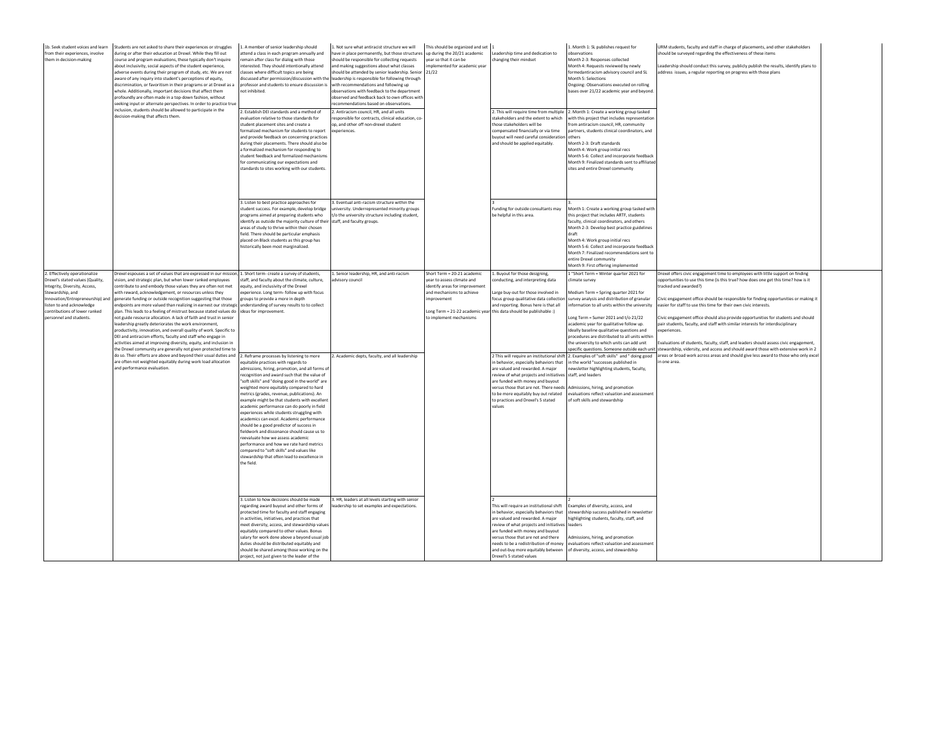| 1b. Seek student voices and learn<br>from their experiences, involve<br>them in decision-making                                                                                                                                                     | Students are not asked to share their experiences or struggles<br>during or after their education at Drexel. While they fill out<br>course and program evaluations, these typically don't inquire<br>about inclusivity, social aspects of the student experience.<br>dverse events during their program of study, etc. We are not<br>aware of any inquiry into student's perceptions of equity,<br>discrimination, or favoritism in their programs or at Drexel as a<br>whole. Additionally, important decisions that affect them<br>profoundly are often made in a top-down fashion, without<br>eeking input or alternate perspectives. In order to practice true<br>nclusion, students should be allowed to participate in the<br>lecision-making that affects them.                                                                                                                                | 1. A member of senior leadership should<br>attend a class in each program annually and<br>emain after class for dialog with those<br>nterested. They should intentionally attend<br>lasses where difficult topics are being<br>liscussed after permission/discussion with the<br>professor and students to ensure discussion is<br>not inhibited.<br>2. Establish DEI standards and a method of<br>evaluation relative to those standards for<br>tudent placement sites and create a<br>ormalized mechanism for students to repor<br>and provide feedback on concerning practice<br>during their placements. There should also be<br>formalized mechanism for responding to<br>tudent feedback and formalized mechanism<br>or communicating our expectations and<br>standards to sites working with our students. | . Not sure what antiracist structure we will<br>ave in place permanently, but those structures up during the 20/21 academic<br>hould be responsible for collecting requests<br>ind making suggestions about what classes<br>hould be attended by senior leadership. Senior<br>leadership is responsible for following through<br>with recommendations and following up<br>observations with feedback to the department<br>observed and feedback back to own offices wit<br>ecommendations hased on observations<br>. Antiracism council, HR, and all units<br>esponsible for contracts, clinical education, co<br>op, and other off non-drexel student<br>experiences. | This should be organized and set<br>year so that it can be<br>implemented for academic year<br>21/22                                                               | Leadership time and dedication to<br>changing their mindset<br>stakeholders and the extent to which<br>those stakeholders will be<br>ompensated financially or via time<br>buvout will need careful consideration<br>and should be applied equitably.                                                                                  | 1. Month 1: SL publishes request for<br>observations<br>Month 2-3: Responses collected<br>Month 4: Requests reviewed by newly<br>ormedantiracism advisory council and SL<br>Month 5: Selections<br>Ongoing: Observations executed on rolling<br>bases over 21/22 academic year and beyond.<br>2. This will require time from multiple 2. Month 1: Create a working group tasked<br>vith this project that includes representatio<br>rom antiracism council. HR. community<br>artners, students clinical coordinators, and<br>others<br>Month 2-3: Draft standards<br>Month 4: Work group initial recs<br>Month 5-6: Collect and incorporate feedback<br>Month 9: Finalized standards sent to affiliate<br>sites and entire Drexel community | URM students, faculty and staff in charge of placements, and other stakeholders<br>should be surveyed regarding the effectiveness of these items<br>eadership should conduct this survey, publicly publish the results, identify plans to<br>ddress issues, a regular reporting on progress with those plans                                                                                                                                                                                                                                                                                                                                                                                                                                                              |  |
|-----------------------------------------------------------------------------------------------------------------------------------------------------------------------------------------------------------------------------------------------------|-------------------------------------------------------------------------------------------------------------------------------------------------------------------------------------------------------------------------------------------------------------------------------------------------------------------------------------------------------------------------------------------------------------------------------------------------------------------------------------------------------------------------------------------------------------------------------------------------------------------------------------------------------------------------------------------------------------------------------------------------------------------------------------------------------------------------------------------------------------------------------------------------------|-------------------------------------------------------------------------------------------------------------------------------------------------------------------------------------------------------------------------------------------------------------------------------------------------------------------------------------------------------------------------------------------------------------------------------------------------------------------------------------------------------------------------------------------------------------------------------------------------------------------------------------------------------------------------------------------------------------------------------------------------------------------------------------------------------------------|------------------------------------------------------------------------------------------------------------------------------------------------------------------------------------------------------------------------------------------------------------------------------------------------------------------------------------------------------------------------------------------------------------------------------------------------------------------------------------------------------------------------------------------------------------------------------------------------------------------------------------------------------------------------|--------------------------------------------------------------------------------------------------------------------------------------------------------------------|----------------------------------------------------------------------------------------------------------------------------------------------------------------------------------------------------------------------------------------------------------------------------------------------------------------------------------------|---------------------------------------------------------------------------------------------------------------------------------------------------------------------------------------------------------------------------------------------------------------------------------------------------------------------------------------------------------------------------------------------------------------------------------------------------------------------------------------------------------------------------------------------------------------------------------------------------------------------------------------------------------------------------------------------------------------------------------------------|---------------------------------------------------------------------------------------------------------------------------------------------------------------------------------------------------------------------------------------------------------------------------------------------------------------------------------------------------------------------------------------------------------------------------------------------------------------------------------------------------------------------------------------------------------------------------------------------------------------------------------------------------------------------------------------------------------------------------------------------------------------------------|--|
|                                                                                                                                                                                                                                                     |                                                                                                                                                                                                                                                                                                                                                                                                                                                                                                                                                                                                                                                                                                                                                                                                                                                                                                       | 3. Listen to best practice approaches for<br>student success. For example, develop bridge<br>programs aimed at preparing students who<br>dentify as outside the majority culture of their<br>areas of study to thrive within their chosen<br>field. There should be particular emphasis<br>placed on Black students as this group has<br>istorically been most marginalized.                                                                                                                                                                                                                                                                                                                                                                                                                                      | . Eventual anti-racism structure within the<br>niversity. Underrepresented minority groups<br>o the university structure including student.<br>staff, and faculty groups.                                                                                                                                                                                                                                                                                                                                                                                                                                                                                              |                                                                                                                                                                    | Funding for outside consultants may<br>be helpful in this area.                                                                                                                                                                                                                                                                        | Aonth 1: Create a working group tasked with<br>this project that includes ARTF, students<br>faculty, clinical coordinators, and others<br>Month 2-3: Develop best practice guidelines<br>draft<br>Month 4: Work group initial recs<br>Month 5-6: Collect and incorporate feedback<br>Month 7: Finalized recommendations sent to<br>entire Drexel community<br>Month 9: First offering implemented                                                                                                                                                                                                                                                                                                                                           |                                                                                                                                                                                                                                                                                                                                                                                                                                                                                                                                                                                                                                                                                                                                                                           |  |
| 2. Effectively operationalize<br>Drexel's stated values (Quality,<br>Integrity, Diversity, Access,<br>Stewardship, and<br>Innovation/Entrepreneurship) and<br>listen to and acknowledge<br>contributions of lower ranked<br>personnel and students. | Orexel espouses a set of values that are expressed in our missio<br>rision, and strategic plan, but when lower ranked employees<br>contribute to and embody those values they are often not met<br>with reward, acknowledgement, or resources unless they<br>generate funding or outside recognition suggesting that those<br>dpoints are more valued than realizing in earnest our strategic<br>plan. This leads to a feeling of mistrust because stated values do Lideas for improvement.<br>not guide resource allocation. A lack of faith and trust in senior<br>eadership greatly deteriorates the work environment,<br>productivity, innovation, and overall quality of work. Specific to<br>DEI and antiracism efforts, faculty and staff who engage in<br>activities aimed at improving diversity, equity, and inclusion in<br>the Drexel community are generally not given protected time to | 1. Short term- create a survey of students,<br>staff, and faculty about the climate, culture,<br>equity, and inclusivity of the Drexel<br>experience. Long term- follow up with focus<br>groups to provide a more in depth<br>understanding of survey results to to collect                                                                                                                                                                                                                                                                                                                                                                                                                                                                                                                                       | . Senior leadership, HR, and anti-racism<br>dvisory council                                                                                                                                                                                                                                                                                                                                                                                                                                                                                                                                                                                                            | Short Term = 20-21 academic<br>vear to assess climate and<br>identify areas for improvement<br>and mechanisms to achieve<br>improvement<br>to implement mechanisms | Buyout for those designing,<br>onducting, and interpreting data<br>arge buy-out for those involved in<br>focus group qualitative data collectio<br>and reporting. Bonus here is that all<br>Long Term = 21-22 academic year this data should be publishable :)                                                                         | "Short Term = Winter quarter 2021 for<br>limate survey<br>Medium Term = Spring quarter 2021 for<br>survey analysis and distribution of granular<br>iformation to all units within the university<br>Long Term = Sumer 2021 and t/o 21/22<br>academic vear for qualitative follow up.<br>deally baseline qualitative questions and<br>procedures are distributed to all units withir<br>the university to which units can add unit                                                                                                                                                                                                                                                                                                           | Drexel offers civic engagement time to employees with little support on finding<br>opportunities to use this time (is this true? how does one get this time? how is it<br>(racked and awarded?)<br>livic engagement office should be responsible for finding opportunities or making il<br>asier for staff to use this time for their own civic interests.<br>Civic engagement office should also provide opportunities for students and should<br>pair students, faculty, and staff with similar interests for interdisciplinary<br>coeriences.<br>valuations of students, faculty, staff, and leaders should assess civic engagement<br>pecific questions. Someone outside each unit stewardship, vidersity, and access and should award those with extensive work in 2 |  |
|                                                                                                                                                                                                                                                     | do so. Their efforts are above and beyond their usual duties and 2. Reframe processes by listening to more<br>are often not weighted equitably during work load allocation<br>and performance evaluation.                                                                                                                                                                                                                                                                                                                                                                                                                                                                                                                                                                                                                                                                                             | equitable practices with regards to<br>dmissions, hiring, promotion, and all forms o<br>ecognition and award such that the value of<br>'soft skills" and "doing good in the world" are<br>veighted more equitably compared to hard<br>metrics (grades, revenue, publications). An<br>example might be that students with excellen<br>academic performance can do poorly in field<br>xperiences while students struggling with<br>academics can excel. Academic performance<br>should be a good predictor of success in<br>ieldwork and dissonance should cause us to<br>eevaluate how we assess academic<br>erformance and how we rate hard metrics<br>ompared to "soft skills" and values like<br>stewardship that often lead to excellence in<br>the field.                                                     | . Academic depts, faculty, and all leadership                                                                                                                                                                                                                                                                                                                                                                                                                                                                                                                                                                                                                          |                                                                                                                                                                    | This will require an institutional shift<br>n behavior, especially behaviors that<br>are valued and rewarded. A major<br>review of what projects and initiatives<br>are funded with money and buyout<br>versus those that are not. There needs<br>to be more equitably buy out related<br>to practices and Drexel's 5 stated<br>values | 2. Examples of "soft skills" and " doing good<br>in the world "successes published in<br>ewsletter highlighting students, faculty,<br>taff, and leaders<br>Admissions, hiring, and promotion<br>evaluations reflect valuation and assessment<br>of soft skills and stewardship                                                                                                                                                                                                                                                                                                                                                                                                                                                              | areas or broad work across areas and should give less award to those who only excel<br>one area.                                                                                                                                                                                                                                                                                                                                                                                                                                                                                                                                                                                                                                                                          |  |
|                                                                                                                                                                                                                                                     |                                                                                                                                                                                                                                                                                                                                                                                                                                                                                                                                                                                                                                                                                                                                                                                                                                                                                                       | 3. Listen to how decisions should be made<br>regarding award buyout and other forms of<br>protected time for faculty and staff engaging<br>n activities, initiatives, and practices that<br>neet diversity, access, and stewardship values<br>quitably compared to other values. Bonus<br>salary for work done above a beyond usual job<br>duties should be distributed equitably and<br>should be shared among those working on the<br>project, not just given to the leader of the                                                                                                                                                                                                                                                                                                                              | . HR, leaders at all levels starting with senior<br>eadership to set examples and expectations.                                                                                                                                                                                                                                                                                                                                                                                                                                                                                                                                                                        |                                                                                                                                                                    | This will require an institutional shift<br>in behavior, especially behaviors that<br>are valued and rewarded. A major<br>review of what projects and initiatives<br>are funded with money and buyout<br>versus those that are not and there<br>needs to be a redistribution of money<br>Drexel's 5 stated values                      | Examples of diversity, access, and<br>stewardship success published in newsletter<br>ighlighting students, faculty, staff, and<br>eaders<br>dmissions, hiring, and promotion<br>evaluations reflect valuation and assessment<br>and out-buy more equitably between of diversity, access, and stewardship                                                                                                                                                                                                                                                                                                                                                                                                                                    |                                                                                                                                                                                                                                                                                                                                                                                                                                                                                                                                                                                                                                                                                                                                                                           |  |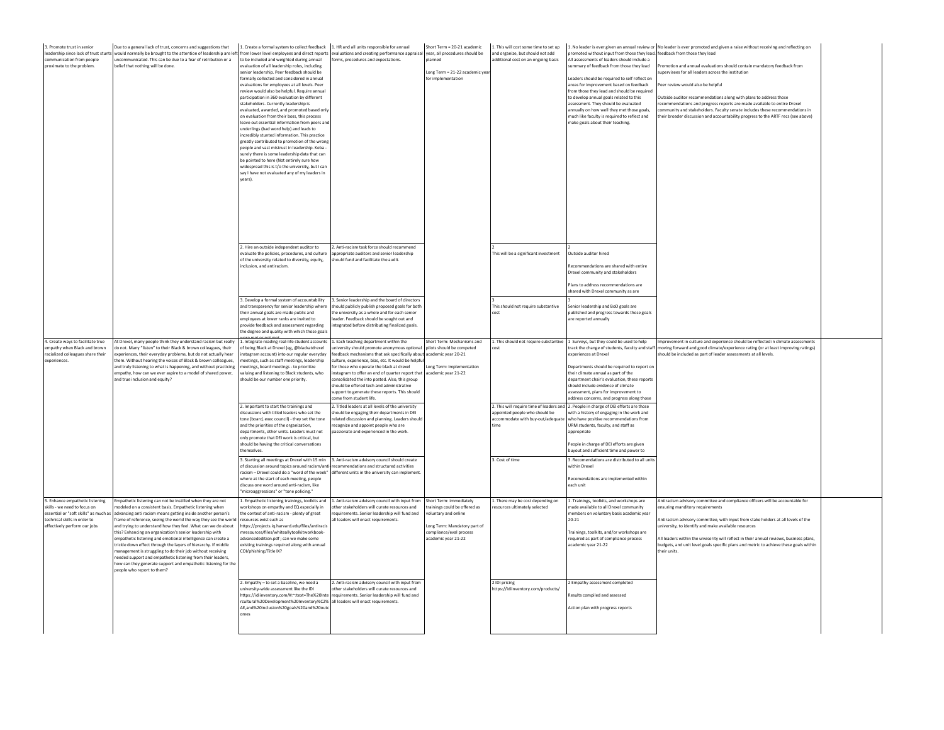| 3. Promote trust in senior<br>leadership since lack of trust stunts<br>communication from people<br>proximate to the problem.                                           | Due to a general lack of trust, concerns and suggestions that<br>vould normally be brought to the attention of leadership are left<br>ncommunicated. This can be due to a fear of retribution or a<br>belief that nothing will be done.                                                                                                                                                                                                                                                                                                                                                                                                                                                                                                   | 1. Create a formal system to collect feedback 1. HR and all units responsible for annual<br>to be included and weighted during annual<br>evaluation of all leadership roles, including<br>senior leadership. Peer feedback should be<br>formally collected and considered in annual<br>valuations for employees at all levels. Peer<br>review would also be helpful. Require annual<br>articipation in 360 evaluation by different<br>stakeholders. Currently leadership is<br>valuated, awarded, and promoted based onl<br>n evaluation from their boss, this process<br>leave out essential information from peers an<br>inderlings (bad word help) and leads to<br>incredibly stunted information. This practice<br>greatly contributed to promotion of the wron<br>eople and vast mistrust in leadership. Keba<br>surely there is some leadership data that can<br>e pointed to here (Not entirely sure hov<br>widespread this is t/o the university, but I can<br>say I have not evaluated any of my leaders in<br>vears). | from lower level employees and direct reports evaluations and creating performance appraisa<br>forms, procedures and expectations.                                                                                                                                                                                                                                                                                                                                        | Short Term = 20-21 academic<br>year, all procedures should be<br>planned<br>ong Term = 21-22 academic ye<br>for implementation                                   | This will cost some time to set up<br>and organize, but should not add<br>dditional cost on an ongoing basis | promoted without input from those they lead. feedback from those they lead<br>All assessments of leaders should include a<br>ummary of feedback from those they lead<br>eaders should be required to self reflect on<br>reas for improvement based on feedback<br>rom those they lead and should be required<br>to develop annual goals related to this<br>ssessment. They should be evaluated<br>nnually on how well they met those goals,<br>uch like faculty is required to reflect and<br>nake goals about their teaching. | 1. No leader is ever given an annual review or No leader is ever promoted and given a raise without receiving and reflecting on<br>Promotion and annual evaluations should contain mandatory feedback from<br>pervisees for all leaders across the institution<br>eer review would also be helpful<br>Outside auditor recommendations along with plans to address those<br>recommendations and progress reports are made available to entire Drexel<br>mmunity and stakeholders. Faculty senate includes these recommendations in<br>heir broader discussion and accountability progress to the ARTF recs (see above) |  |
|-------------------------------------------------------------------------------------------------------------------------------------------------------------------------|-------------------------------------------------------------------------------------------------------------------------------------------------------------------------------------------------------------------------------------------------------------------------------------------------------------------------------------------------------------------------------------------------------------------------------------------------------------------------------------------------------------------------------------------------------------------------------------------------------------------------------------------------------------------------------------------------------------------------------------------|---------------------------------------------------------------------------------------------------------------------------------------------------------------------------------------------------------------------------------------------------------------------------------------------------------------------------------------------------------------------------------------------------------------------------------------------------------------------------------------------------------------------------------------------------------------------------------------------------------------------------------------------------------------------------------------------------------------------------------------------------------------------------------------------------------------------------------------------------------------------------------------------------------------------------------------------------------------------------------------------------------------------------------|---------------------------------------------------------------------------------------------------------------------------------------------------------------------------------------------------------------------------------------------------------------------------------------------------------------------------------------------------------------------------------------------------------------------------------------------------------------------------|------------------------------------------------------------------------------------------------------------------------------------------------------------------|--------------------------------------------------------------------------------------------------------------|--------------------------------------------------------------------------------------------------------------------------------------------------------------------------------------------------------------------------------------------------------------------------------------------------------------------------------------------------------------------------------------------------------------------------------------------------------------------------------------------------------------------------------|-----------------------------------------------------------------------------------------------------------------------------------------------------------------------------------------------------------------------------------------------------------------------------------------------------------------------------------------------------------------------------------------------------------------------------------------------------------------------------------------------------------------------------------------------------------------------------------------------------------------------|--|
|                                                                                                                                                                         |                                                                                                                                                                                                                                                                                                                                                                                                                                                                                                                                                                                                                                                                                                                                           | 2. Hire an outside independent auditor to<br>evaluate the policies, procedures, and culture<br>of the university related to diversity, equity,<br>inclusion, and antiracism<br>3. Develop a formal system of accountability<br>and transparency for senior leadership where                                                                                                                                                                                                                                                                                                                                                                                                                                                                                                                                                                                                                                                                                                                                                     | 2. Anti-racism task force should recommend<br>appropriate auditors and senior leadership<br>should fund and facilitate the audit.<br>. Senior leadership and the board of directors<br>should publicly publish proposed goals for both                                                                                                                                                                                                                                    |                                                                                                                                                                  | This will be a significant investment<br>This should not require substantive                                 | Outside auditor hired<br>ecommendations are shared with entire<br>Drexel community and stakeholders<br>lans to address recommendations are<br>hared with Drexel community as are<br>Senior leadership and BoD goals are                                                                                                                                                                                                                                                                                                        |                                                                                                                                                                                                                                                                                                                                                                                                                                                                                                                                                                                                                       |  |
|                                                                                                                                                                         |                                                                                                                                                                                                                                                                                                                                                                                                                                                                                                                                                                                                                                                                                                                                           | their annual goals are made public and<br>mployees at lower ranks are invited to<br>provide feedback and assessment regarding<br>he degree and quality with which those goals                                                                                                                                                                                                                                                                                                                                                                                                                                                                                                                                                                                                                                                                                                                                                                                                                                                   | the university as a whole and for each senior<br>leader. Feedback should be sought out and<br>integrated before distributing finalized goals.                                                                                                                                                                                                                                                                                                                             |                                                                                                                                                                  | cost                                                                                                         | published and progress towards those goals<br>are reported annually                                                                                                                                                                                                                                                                                                                                                                                                                                                            |                                                                                                                                                                                                                                                                                                                                                                                                                                                                                                                                                                                                                       |  |
| 4. Create ways to facilitate true<br>empathy when Black and brown<br>racialized colleagues share their<br>experiences.                                                  | At Drexel, many people think they understand racism but really<br>lo not. Many "listen" to their Black & brown colleagues, their<br>experiences, their everyday problems, but do not actually hear<br>hem. Without hearing the voices of Black & brown colleagues<br>and truly listening to what is happening, and without practicing<br>mpathy, how can we ever aspire to a model of shared power,<br>nd true inclusion and equity?                                                                                                                                                                                                                                                                                                      | . Integrate reading real-life student accounts<br>of being Black at Drexel (eg, @blackatdrexel<br>nstagram account) into our regular everyday<br>neetings, such as staff meetings, leadership<br>neetings, board meetings - to prioritize<br>raluing and listening to Black students, who<br>hould be our number one priority.                                                                                                                                                                                                                                                                                                                                                                                                                                                                                                                                                                                                                                                                                                  | . Each teaching department within the<br>university should promote anonymous optiona<br>feedback mechanisms that ask specifically about<br>culture, experience, bias, etc. It would be helpfu<br>for those who operate the black at drexel<br>instagram to offer an end of quarter report that<br>onsolidated the into posted. Also, this group<br>should be offered tech and administrative<br>support to generate these reports. This should<br>come from student life. | Short Term: Mechanisms and<br>pilots should be competed<br>academic year 20-21<br>ong Term: Implementation<br>academic year 21-22                                | L. This should not require substantive                                                                       | 1 Surveys, but they could be used to help<br>track the change of students, faculty and staff<br>xperiences at Drexel<br>Departments should be required to report or<br>heir climate annual as part of the<br>epartment chair's evaluation, these report<br>should include evidence of climate<br>assessment, plans for improvement to<br>address concerns, and progress along those                                                                                                                                            | Improvement in culture and experience should be reflected in climate assessments<br>moving forward and good climate/experience rating (or at least improving ratings)<br>should be included as part of leader assessments at all levels                                                                                                                                                                                                                                                                                                                                                                               |  |
|                                                                                                                                                                         |                                                                                                                                                                                                                                                                                                                                                                                                                                                                                                                                                                                                                                                                                                                                           | 2. Important to start the trainings and<br>discussions with titled leaders who set the                                                                                                                                                                                                                                                                                                                                                                                                                                                                                                                                                                                                                                                                                                                                                                                                                                                                                                                                          | 2. Titled leaders at all levels of the university<br>should be engaging their departments in DEI                                                                                                                                                                                                                                                                                                                                                                          |                                                                                                                                                                  | ppointed people who should be                                                                                | 2. This will require time of leaders and 2. People in charge of DEI efforts are those<br>with a history of engaging in the work and                                                                                                                                                                                                                                                                                                                                                                                            |                                                                                                                                                                                                                                                                                                                                                                                                                                                                                                                                                                                                                       |  |
|                                                                                                                                                                         |                                                                                                                                                                                                                                                                                                                                                                                                                                                                                                                                                                                                                                                                                                                                           | one (board, exec council) - they set the tone<br>and the priorities of the organization,<br>departments, other units, Leaders must not                                                                                                                                                                                                                                                                                                                                                                                                                                                                                                                                                                                                                                                                                                                                                                                                                                                                                          | elated discussion and planning. Leaders should<br>recognize and appoint people who are<br>passionate and experienced in the work.                                                                                                                                                                                                                                                                                                                                         |                                                                                                                                                                  | ccommodate with buy-out/adequat                                                                              | who have positive recommendations from<br>URM students, faculty, and staff as<br>appropriate                                                                                                                                                                                                                                                                                                                                                                                                                                   |                                                                                                                                                                                                                                                                                                                                                                                                                                                                                                                                                                                                                       |  |
|                                                                                                                                                                         |                                                                                                                                                                                                                                                                                                                                                                                                                                                                                                                                                                                                                                                                                                                                           | only promote that DEI work is critical, but<br>should be having the critical conversations<br>emselver                                                                                                                                                                                                                                                                                                                                                                                                                                                                                                                                                                                                                                                                                                                                                                                                                                                                                                                          |                                                                                                                                                                                                                                                                                                                                                                                                                                                                           |                                                                                                                                                                  |                                                                                                              | People in charge of DEI efforts are given<br>uyout and sufficient time and power to                                                                                                                                                                                                                                                                                                                                                                                                                                            |                                                                                                                                                                                                                                                                                                                                                                                                                                                                                                                                                                                                                       |  |
|                                                                                                                                                                         |                                                                                                                                                                                                                                                                                                                                                                                                                                                                                                                                                                                                                                                                                                                                           | 3. Starting all meetings at Drexel with 15 min<br>of discussion around topics around racism/ant<br>racism - Drexel could do a "word of the week"<br>vhere at the start of each meeting, people<br>discuss one word around anti-racism, like<br>'microaggressions" or "tone policing."                                                                                                                                                                                                                                                                                                                                                                                                                                                                                                                                                                                                                                                                                                                                           | 3. Anti-racism advisory council should create<br>recommendations and structured activities<br>different units in the university can implement                                                                                                                                                                                                                                                                                                                             |                                                                                                                                                                  | 3. Cost of time                                                                                              | 3. Recomendations are distributed to all unit<br>within Drexel<br>tecomendations are implemented within<br>each unit                                                                                                                                                                                                                                                                                                                                                                                                           |                                                                                                                                                                                                                                                                                                                                                                                                                                                                                                                                                                                                                       |  |
| 5. Enhance empathetic listening<br>skills - we need to focus on<br>essential or "soft skills" as much a<br>technical skills in order to<br>effectively perform our jobs | impathetic listening can not be instilled when they are not<br>odeled on a consistent basis. Empathetic listening when<br>dvancing anti racism means getting inside another person's<br>rame of reference, seeing the world the way they see the world<br>nd trying to understand how they feel. What can we do about<br>his? Enhancing an organization's senior leadership with<br>mpathetic listening and emotional intelligence can create a<br>trickle down effect through the layers of hierarchy. If middle<br>anagement is struggling to do their job without receiving<br>eded support and empathetic listening from their leaders,<br>ow can they generate support and empathetic listening for the<br>eople who report to them? | 1. Empathetic listening trainings, toolkits and<br>workshops on empathy and EQ especially in<br>the context of anti-racism - plenty of great<br>esources exist such as<br>ttps://projects.iq.harvard.edu/files/antiracis<br>nresources/files/whiteallytoolkitworkbook-<br>dvancededition.pdf ; can we make some<br>existing trainings required along with annual<br>COI/phishing/Title IX?                                                                                                                                                                                                                                                                                                                                                                                                                                                                                                                                                                                                                                      | . Anti-racism advisory council with input from<br>other stakeholders will curate resources and<br>requirements. Senior leadership will fund and<br>all leaders will enact requirements.                                                                                                                                                                                                                                                                                   | Short Term: immediately<br>trainings could be offered as<br>voluntary and online<br>ong Term: Mandatory part of<br>compliance/eval process<br>cademic vear 21-22 | . There may be cost depending on<br>esources ultimately selected                                             | 1. Trainings, toolkits, and workshops are<br>made available to all Drexel community<br>nembers on voluntary basis academic year<br>$20 - 21$<br>Frainings, toolkits, and/or workshops are<br>equired as part of compliance process<br>cademic year 21-22                                                                                                                                                                                                                                                                       | Antiracism advisory committee and compliance officers will be accountable for<br>insuring manditory requirements<br>Antiracism advisory committee, with input from stake holders at all levels of the<br>iversity, to identify and make available resources<br>All leaders within the unviserity will reflect in their annual reviews, business plans,<br>budgets, and unit level goals specific plans and metric to achieve these goals withir<br>their units.                                                                                                                                                       |  |
|                                                                                                                                                                         |                                                                                                                                                                                                                                                                                                                                                                                                                                                                                                                                                                                                                                                                                                                                           | 2. Empathy - to set a baseline, we need a<br>university-wide assessment like the IDI<br>https://idiinventory.com/#:~:text=The%20Inte<br>rcultural%20Development%20Inventory%C2%<br>AE,and%20inclusion%20goals%20and%20out<br>omes                                                                                                                                                                                                                                                                                                                                                                                                                                                                                                                                                                                                                                                                                                                                                                                               | 2. Anti-racism advisory council with input fron<br>other stakeholders will curate resources and<br>requirements. Senior leadership will fund and<br>all leaders will enact requirements.                                                                                                                                                                                                                                                                                  |                                                                                                                                                                  | 1DI pricing<br>https://idiinventory.com/products/                                                            | Empathy assessment completed<br>lesults compiled and assessed<br>Action plan with progress reports                                                                                                                                                                                                                                                                                                                                                                                                                             |                                                                                                                                                                                                                                                                                                                                                                                                                                                                                                                                                                                                                       |  |